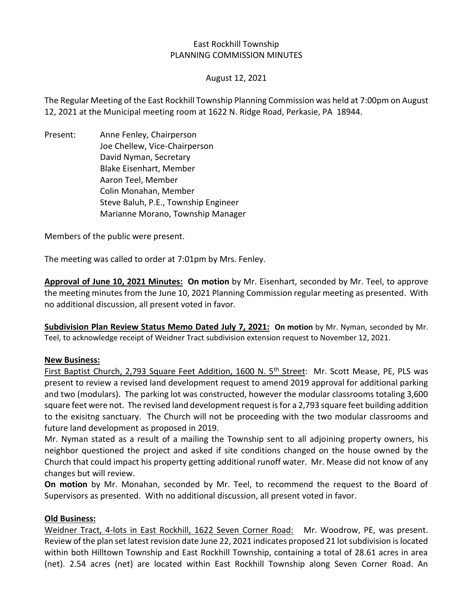#### East Rockhill Township PLANNING COMMISSION MINUTES

#### August 12, 2021

The Regular Meeting of the East Rockhill Township Planning Commission was held at 7:00pm on August 12, 2021 at the Municipal meeting room at 1622 N. Ridge Road, Perkasie, PA 18944.

Present: Anne Fenley, Chairperson Joe Chellew, Vice-Chairperson David Nyman, Secretary Blake Eisenhart, Member Aaron Teel, Member Colin Monahan, Member Steve Baluh, P.E., Township Engineer Marianne Morano, Township Manager

Members of the public were present.

The meeting was called to order at 7:01pm by Mrs. Fenley.

**Approval of June 10, 2021 Minutes: On motion** by Mr. Eisenhart, seconded by Mr. Teel, to approve the meeting minutes from the June 10, 2021 Planning Commission regular meeting as presented. With no additional discussion, all present voted in favor.

**Subdivision Plan Review Status Memo Dated July 7, 2021: On motion** by Mr. Nyman, seconded by Mr. Teel, to acknowledge receipt of Weidner Tract subdivision extension request to November 12, 2021.

#### **New Business:**

First Baptist Church, 2,793 Square Feet Addition, 1600 N. 5<sup>th</sup> Street: Mr. Scott Mease, PE, PLS was present to review a revised land development request to amend 2019 approval for additional parking and two (modulars). The parking lot was constructed, however the modular classrooms totaling 3,600 square feet were not. The revised land development request is for a 2,793 square feet building addition to the exisitng sanctuary. The Church will not be proceeding with the two modular classrooms and future land development as proposed in 2019.

Mr. Nyman stated as a result of a mailing the Township sent to all adjoining property owners, his neighbor questioned the project and asked if site conditions changed on the house owned by the Church that could impact his property getting additional runoff water. Mr. Mease did not know of any changes but will review.

**On motion** by Mr. Monahan, seconded by Mr. Teel, to recommend the request to the Board of Supervisors as presented. With no additional discussion, all present voted in favor.

#### **Old Business:**

Weidner Tract, 4-lots in East Rockhill, 1622 Seven Corner Road: Mr. Woodrow, PE, was present. Review of the plan set latest revision date June 22, 2021 indicates proposed 21 lot subdivision is located within both Hilltown Township and East Rockhill Township, containing a total of 28.61 acres in area (net). 2.54 acres (net) are located within East Rockhill Township along Seven Corner Road. An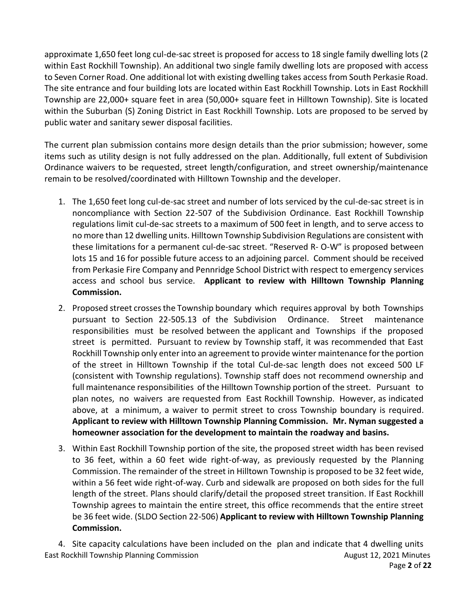approximate 1,650 feet long cul-de-sac street is proposed for access to 18 single family dwelling lots (2 within East Rockhill Township). An additional two single family dwelling lots are proposed with access to Seven Corner Road. One additional lot with existing dwelling takes access from South Perkasie Road. The site entrance and four building lots are located within East Rockhill Township. Lots in East Rockhill Township are 22,000+ square feet in area (50,000+ square feet in Hilltown Township). Site is located within the Suburban (S) Zoning District in East Rockhill Township. Lots are proposed to be served by public water and sanitary sewer disposal facilities.

The current plan submission contains more design details than the prior submission; however, some items such as utility design is not fully addressed on the plan. Additionally, full extent of Subdivision Ordinance waivers to be requested, street length/configuration, and street ownership/maintenance remain to be resolved/coordinated with Hilltown Township and the developer.

- 1. The 1,650 feet long cul-de-sac street and number of lots serviced by the cul-de-sac street is in noncompliance with Section 22-507 of the Subdivision Ordinance. East Rockhill Township regulations limit cul-de-sac streets to a maximum of 500 feet in length, and to serve access to no more than 12 dwelling units. Hilltown Township Subdivision Regulations are consistent with these limitations for a permanent cul-de-sac street. "Reserved R- O-W" is proposed between lots 15 and 16 for possible future access to an adjoining parcel. Comment should be received from Perkasie Fire Company and Pennridge School District with respect to emergency services access and school bus service. **Applicant to review with Hilltown Township Planning Commission.**
- 2. Proposed street crosses the Township boundary which requires approval by both Townships pursuant to Section 22-505.13 of the Subdivision Ordinance. Street maintenance responsibilities must be resolved between the applicant and Townships if the proposed street is permitted. Pursuant to review by Township staff, it was recommended that East Rockhill Township only enter into an agreement to provide winter maintenance for the portion of the street in Hilltown Township if the total Cul-de-sac length does not exceed 500 LF (consistent with Township regulations). Township staff does not recommend ownership and full maintenance responsibilities of the Hilltown Township portion of the street. Pursuant to plan notes, no waivers are requested from East Rockhill Township. However, as indicated above, at a minimum, a waiver to permit street to cross Township boundary is required. **Applicant to review with Hilltown Township Planning Commission. Mr. Nyman suggested a homeowner association for the development to maintain the roadway and basins.**
- 3. Within East Rockhill Township portion of the site, the proposed street width has been revised to 36 feet, within a 60 feet wide right-of-way, as previously requested by the Planning Commission. The remainder of the street in Hilltown Township is proposed to be 32 feet wide, within a 56 feet wide right-of-way. Curb and sidewalk are proposed on both sides for the full length of the street. Plans should clarify/detail the proposed street transition. If East Rockhill Township agrees to maintain the entire street, this office recommends that the entire street be 36 feet wide. (SLDO Section 22-506) **Applicant to review with Hilltown Township Planning Commission.**

East Rockhill Township Planning Commission **August 12, 2021 Minutes** August 12, 2021 Minutes Page **2** of **22** 4. Site capacity calculations have been included on the plan and indicate that 4 dwelling units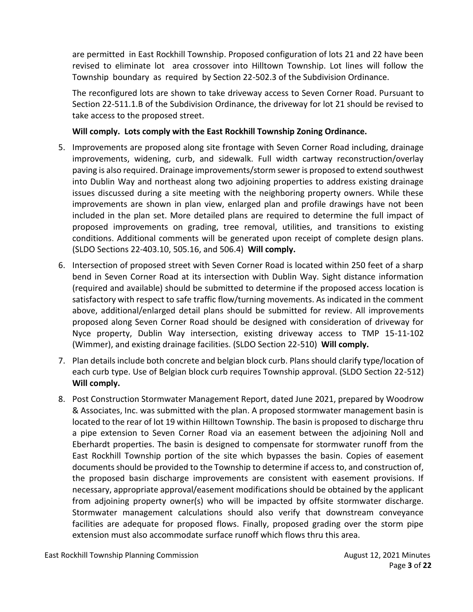are permitted in East Rockhill Township. Proposed configuration of lots 21 and 22 have been revised to eliminate lot area crossover into Hilltown Township. Lot lines will follow the Township boundary as required by Section 22-502.3 of the Subdivision Ordinance.

The reconfigured lots are shown to take driveway access to Seven Corner Road. Pursuant to Section 22-511.1.B of the Subdivision Ordinance, the driveway for lot 21 should be revised to take access to the proposed street.

### **Will comply. Lots comply with the East Rockhill Township Zoning Ordinance.**

- 5. Improvements are proposed along site frontage with Seven Corner Road including, drainage improvements, widening, curb, and sidewalk. Full width cartway reconstruction/overlay paving is also required. Drainage improvements/storm sewer is proposed to extend southwest into Dublin Way and northeast along two adjoining properties to address existing drainage issues discussed during a site meeting with the neighboring property owners. While these improvements are shown in plan view, enlarged plan and profile drawings have not been included in the plan set. More detailed plans are required to determine the full impact of proposed improvements on grading, tree removal, utilities, and transitions to existing conditions. Additional comments will be generated upon receipt of complete design plans. (SLDO Sections 22-403.10, 505.16, and 506.4) **Will comply.**
- 6. Intersection of proposed street with Seven Corner Road is located within 250 feet of a sharp bend in Seven Corner Road at its intersection with Dublin Way. Sight distance information (required and available) should be submitted to determine if the proposed access location is satisfactory with respect to safe traffic flow/turning movements. As indicated in the comment above, additional/enlarged detail plans should be submitted for review. All improvements proposed along Seven Corner Road should be designed with consideration of driveway for Nyce property, Dublin Way intersection, existing driveway access to TMP 15-11-102 (Wimmer), and existing drainage facilities. (SLDO Section 22-510) **Will comply.**
- 7. Plan details include both concrete and belgian block curb. Plans should clarify type/location of each curb type. Use of Belgian block curb requires Township approval. (SLDO Section 22-512) **Will comply.**
- 8. Post Construction Stormwater Management Report, dated June 2021, prepared by Woodrow & Associates, Inc. was submitted with the plan. A proposed stormwater management basin is located to the rear of lot 19 within Hilltown Township. The basin is proposed to discharge thru a pipe extension to Seven Corner Road via an easement between the adjoining Noll and Eberhardt properties. The basin is designed to compensate for stormwater runoff from the East Rockhill Township portion of the site which bypasses the basin. Copies of easement documents should be provided to the Township to determine if access to, and construction of, the proposed basin discharge improvements are consistent with easement provisions. If necessary, appropriate approval/easement modifications should be obtained by the applicant from adjoining property owner(s) who will be impacted by offsite stormwater discharge. Stormwater management calculations should also verify that downstream conveyance facilities are adequate for proposed flows. Finally, proposed grading over the storm pipe extension must also accommodate surface runoff which flows thru this area.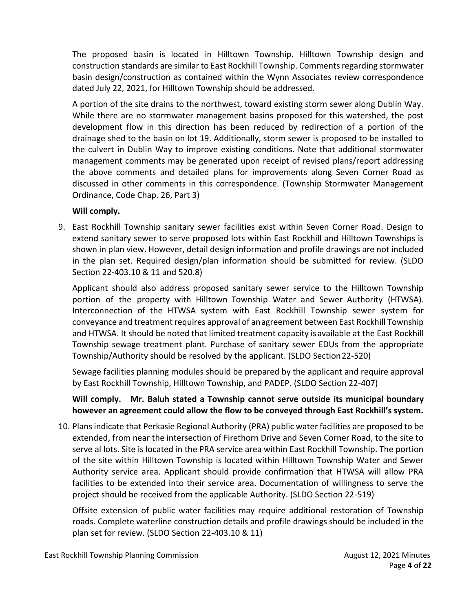The proposed basin is located in Hilltown Township. Hilltown Township design and construction standards are similar to East Rockhill Township. Comments regarding stormwater basin design/construction as contained within the Wynn Associates review correspondence dated July 22, 2021, for Hilltown Township should be addressed.

A portion of the site drains to the northwest, toward existing storm sewer along Dublin Way. While there are no stormwater management basins proposed for this watershed, the post development flow in this direction has been reduced by redirection of a portion of the drainage shed to the basin on lot 19. Additionally, storm sewer is proposed to be installed to the culvert in Dublin Way to improve existing conditions. Note that additional stormwater management comments may be generated upon receipt of revised plans/report addressing the above comments and detailed plans for improvements along Seven Corner Road as discussed in other comments in this correspondence. (Township Stormwater Management Ordinance, Code Chap. 26, Part 3)

### **Will comply.**

9. East Rockhill Township sanitary sewer facilities exist within Seven Corner Road. Design to extend sanitary sewer to serve proposed lots within East Rockhill and Hilltown Townships is shown in plan view. However, detail design information and profile drawings are not included in the plan set. Required design/plan information should be submitted for review. (SLDO Section 22-403.10 & 11 and 520.8)

Applicant should also address proposed sanitary sewer service to the Hilltown Township portion of the property with Hilltown Township Water and Sewer Authority (HTWSA). Interconnection of the HTWSA system with East Rockhill Township sewer system for conveyance and treatment requires approval of anagreement between East Rockhill Township and HTWSA. It should be noted that limited treatment capacity isavailable at the East Rockhill Township sewage treatment plant. Purchase of sanitary sewer EDUs from the appropriate Township/Authority should be resolved by the applicant. (SLDO Section22-520)

Sewage facilities planning modules should be prepared by the applicant and require approval by East Rockhill Township, Hilltown Township, and PADEP. (SLDO Section 22-407)

# **Will comply. Mr. Baluh stated a Township cannot serve outside its municipal boundary however an agreement could allow the flow to be conveyed through East Rockhill's system.**

10. Plans indicate that Perkasie Regional Authority (PRA) public water facilities are proposed to be extended, from near the intersection of Firethorn Drive and Seven Corner Road, to the site to serve al lots. Site is located in the PRA service area within East Rockhill Township. The portion of the site within Hilltown Township is located within Hilltown Township Water and Sewer Authority service area. Applicant should provide confirmation that HTWSA will allow PRA facilities to be extended into their service area. Documentation of willingness to serve the project should be received from the applicable Authority. (SLDO Section 22-519)

Offsite extension of public water facilities may require additional restoration of Township roads. Complete waterline construction details and profile drawings should be included in the plan set for review. (SLDO Section 22-403.10 & 11)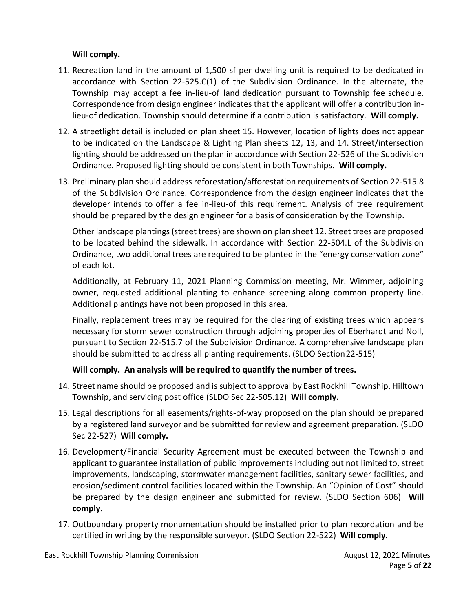# **Will comply.**

- 11. Recreation land in the amount of 1,500 sf per dwelling unit is required to be dedicated in accordance with Section 22-525.C(1) of the Subdivision Ordinance. In the alternate, the Township may accept a fee in-lieu-of land dedication pursuant to Township fee schedule. Correspondence from design engineer indicates that the applicant will offer a contribution inlieu-of dedication. Township should determine if a contribution is satisfactory. **Will comply.**
- 12. A streetlight detail is included on plan sheet 15. However, location of lights does not appear to be indicated on the Landscape & Lighting Plan sheets 12, 13, and 14. Street/intersection lighting should be addressed on the plan in accordance with Section 22-526 of the Subdivision Ordinance. Proposed lighting should be consistent in both Townships. **Will comply.**
- 13. Preliminary plan should address reforestation/afforestation requirements of Section 22-515.8 of the Subdivision Ordinance. Correspondence from the design engineer indicates that the developer intends to offer a fee in-lieu-of this requirement. Analysis of tree requirement should be prepared by the design engineer for a basis of consideration by the Township.

Other landscape plantings (street trees) are shown on plan sheet 12. Street trees are proposed to be located behind the sidewalk. In accordance with Section 22-504.L of the Subdivision Ordinance, two additional trees are required to be planted in the "energy conservation zone" of each lot.

Additionally, at February 11, 2021 Planning Commission meeting, Mr. Wimmer, adjoining owner, requested additional planting to enhance screening along common property line. Additional plantings have not been proposed in this area.

Finally, replacement trees may be required for the clearing of existing trees which appears necessary for storm sewer construction through adjoining properties of Eberhardt and Noll, pursuant to Section 22-515.7 of the Subdivision Ordinance. A comprehensive landscape plan should be submitted to address all planting requirements. (SLDO Section22-515)

### **Will comply. An analysis will be required to quantify the number of trees.**

- 14. Street name should be proposed and is subject to approval by East Rockhill Township, Hilltown Township, and servicing post office (SLDO Sec 22-505.12) **Will comply.**
- 15. Legal descriptions for all easements/rights-of-way proposed on the plan should be prepared by a registered land surveyor and be submitted for review and agreement preparation. (SLDO Sec 22-527) **Will comply.**
- 16. Development/Financial Security Agreement must be executed between the Township and applicant to guarantee installation of public improvements including but not limited to, street improvements, landscaping, stormwater management facilities, sanitary sewer facilities, and erosion/sediment control facilities located within the Township. An "Opinion of Cost" should be prepared by the design engineer and submitted for review. (SLDO Section 606) **Will comply.**
- 17. Outboundary property monumentation should be installed prior to plan recordation and be certified in writing by the responsible surveyor. (SLDO Section 22-522) **Will comply.**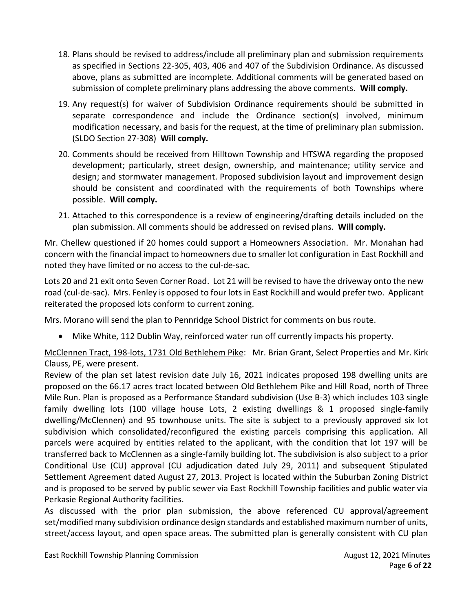- 18. Plans should be revised to address/include all preliminary plan and submission requirements as specified in Sections 22-305, 403, 406 and 407 of the Subdivision Ordinance. As discussed above, plans as submitted are incomplete. Additional comments will be generated based on submission of complete preliminary plans addressing the above comments. **Will comply.**
- 19. Any request(s) for waiver of Subdivision Ordinance requirements should be submitted in separate correspondence and include the Ordinance section(s) involved, minimum modification necessary, and basis for the request, at the time of preliminary plan submission. (SLDO Section 27-308) **Will comply.**
- 20. Comments should be received from Hilltown Township and HTSWA regarding the proposed development; particularly, street design, ownership, and maintenance; utility service and design; and stormwater management. Proposed subdivision layout and improvement design should be consistent and coordinated with the requirements of both Townships where possible. **Will comply.**
- 21. Attached to this correspondence is a review of engineering/drafting details included on the plan submission. All comments should be addressed on revised plans. **Will comply.**

Mr. Chellew questioned if 20 homes could support a Homeowners Association. Mr. Monahan had concern with the financial impact to homeowners due to smaller lot configuration in East Rockhill and noted they have limited or no access to the cul-de-sac.

Lots 20 and 21 exit onto Seven Corner Road. Lot 21 will be revised to have the driveway onto the new road (cul-de-sac). Mrs. Fenley is opposed to four lots in East Rockhill and would prefer two. Applicant reiterated the proposed lots conform to current zoning.

Mrs. Morano will send the plan to Pennridge School District for comments on bus route.

• Mike White, 112 Dublin Way, reinforced water run off currently impacts his property.

McClennen Tract, 198-lots, 1731 Old Bethlehem Pike: Mr. Brian Grant, Select Properties and Mr. Kirk Clauss, PE, were present.

Review of the plan set latest revision date July 16, 2021 indicates proposed 198 dwelling units are proposed on the 66.17 acres tract located between Old Bethlehem Pike and Hill Road, north of Three Mile Run. Plan is proposed as a Performance Standard subdivision (Use B-3) which includes 103 single family dwelling lots (100 village house Lots, 2 existing dwellings & 1 proposed single-family dwelling/McClennen) and 95 townhouse units. The site is subject to a previously approved six lot subdivision which consolidated/reconfigured the existing parcels comprising this application. All parcels were acquired by entities related to the applicant, with the condition that lot 197 will be transferred back to McClennen as a single-family building lot. The subdivision is also subject to a prior Conditional Use (CU) approval (CU adjudication dated July 29, 2011) and subsequent Stipulated Settlement Agreement dated August 27, 2013. Project is located within the Suburban Zoning District and is proposed to be served by public sewer via East Rockhill Township facilities and public water via Perkasie Regional Authority facilities.

As discussed with the prior plan submission, the above referenced CU approval/agreement set/modified many subdivision ordinance design standards and established maximum number of units, street/access layout, and open space areas. The submitted plan is generally consistent with CU plan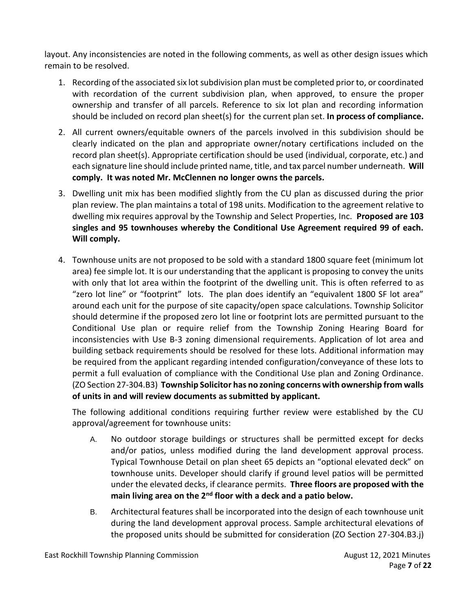layout. Any inconsistencies are noted in the following comments, as well as other design issues which remain to be resolved.

- 1. Recording of the associated six lot subdivision plan must be completed prior to, or coordinated with recordation of the current subdivision plan, when approved, to ensure the proper ownership and transfer of all parcels. Reference to six lot plan and recording information should be included on record plan sheet(s) for the current plan set. **In process of compliance.**
- 2. All current owners/equitable owners of the parcels involved in this subdivision should be clearly indicated on the plan and appropriate owner/notary certifications included on the record plan sheet(s). Appropriate certification should be used (individual, corporate, etc.) and each signature line should include printed name, title, and tax parcel number underneath. **Will comply. It was noted Mr. McClennen no longer owns the parcels.**
- 3. Dwelling unit mix has been modified slightly from the CU plan as discussed during the prior plan review. The plan maintains a total of 198 units. Modification to the agreement relative to dwelling mix requires approval by the Township and Select Properties, Inc. **Proposed are 103 singles and 95 townhouses whereby the Conditional Use Agreement required 99 of each. Will comply.**
- 4. Townhouse units are not proposed to be sold with a standard 1800 square feet (minimum lot area) fee simple lot. It is our understanding that the applicant is proposing to convey the units with only that lot area within the footprint of the dwelling unit. This is often referred to as "zero lot line" or "footprint" lots. The plan does identify an "equivalent 1800 SF lot area" around each unit for the purpose of site capacity/open space calculations. Township Solicitor should determine if the proposed zero lot line or footprint lots are permitted pursuant to the Conditional Use plan or require relief from the Township Zoning Hearing Board for inconsistencies with Use B-3 zoning dimensional requirements. Application of lot area and building setback requirements should be resolved for these lots. Additional information may be required from the applicant regarding intended configuration/conveyance of these lots to permit a full evaluation of compliance with the Conditional Use plan and Zoning Ordinance. (ZO Section 27-304.B3) **Township Solicitor has no zoning concerns with ownership from walls of units in and will review documents as submitted by applicant.**

The following additional conditions requiring further review were established by the CU approval/agreement for townhouse units:

- A. No outdoor storage buildings or structures shall be permitted except for decks and/or patios, unless modified during the land development approval process. Typical Townhouse Detail on plan sheet 65 depicts an "optional elevated deck" on townhouse units. Developer should clarify if ground level patios will be permitted under the elevated decks, if clearance permits. **Three floors are proposed with the main living area on the 2nd floor with a deck and a patio below.**
- B. Architectural features shall be incorporated into the design of each townhouse unit during the land development approval process. Sample architectural elevations of the proposed units should be submitted for consideration (ZO Section 27-304.B3.j)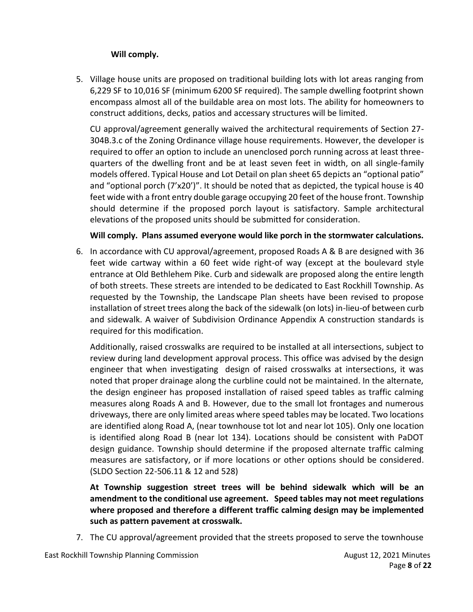### **Will comply.**

5. Village house units are proposed on traditional building lots with lot areas ranging from 6,229 SF to 10,016 SF (minimum 6200 SF required). The sample dwelling footprint shown encompass almost all of the buildable area on most lots. The ability for homeowners to construct additions, decks, patios and accessary structures will be limited.

CU approval/agreement generally waived the architectural requirements of Section 27- 304B.3.c of the Zoning Ordinance village house requirements. However, the developer is required to offer an option to include an unenclosed porch running across at least threequarters of the dwelling front and be at least seven feet in width, on all single-family models offered. Typical House and Lot Detail on plan sheet 65 depicts an "optional patio" and "optional porch (7'x20')". It should be noted that as depicted, the typical house is 40 feet wide with a front entry double garage occupying 20 feet of the house front. Township should determine if the proposed porch layout is satisfactory. Sample architectural elevations of the proposed units should be submitted for consideration.

### **Will comply. Plans assumed everyone would like porch in the stormwater calculations.**

6. In accordance with CU approval/agreement, proposed Roads A & B are designed with 36 feet wide cartway within a 60 feet wide right-of way (except at the boulevard style entrance at Old Bethlehem Pike. Curb and sidewalk are proposed along the entire length of both streets. These streets are intended to be dedicated to East Rockhill Township. As requested by the Township, the Landscape Plan sheets have been revised to propose installation of street trees along the back of the sidewalk (on lots) in-lieu-of between curb and sidewalk. A waiver of Subdivision Ordinance Appendix A construction standards is required for this modification.

Additionally, raised crosswalks are required to be installed at all intersections, subject to review during land development approval process. This office was advised by the design engineer that when investigating design of raised crosswalks at intersections, it was noted that proper drainage along the curbline could not be maintained. In the alternate, the design engineer has proposed installation of raised speed tables as traffic calming measures along Roads A and B. However, due to the small lot frontages and numerous driveways, there are only limited areas where speed tables may be located. Two locations are identified along Road A, (near townhouse tot lot and near lot 105). Only one location is identified along Road B (near lot 134). Locations should be consistent with PaDOT design guidance. Township should determine if the proposed alternate traffic calming measures are satisfactory, or if more locations or other options should be considered. (SLDO Section 22-506.11 & 12 and 528)

**At Township suggestion street trees will be behind sidewalk which will be an amendment to the conditional use agreement. Speed tables may not meet regulations where proposed and therefore a different traffic calming design may be implemented such as pattern pavement at crosswalk.**

7. The CU approval/agreement provided that the streets proposed to serve the townhouse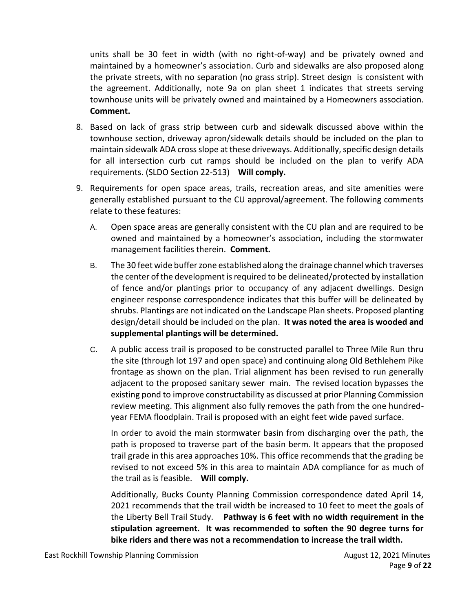units shall be 30 feet in width (with no right-of-way) and be privately owned and maintained by a homeowner's association. Curb and sidewalks are also proposed along the private streets, with no separation (no grass strip). Street design is consistent with the agreement. Additionally, note 9a on plan sheet 1 indicates that streets serving townhouse units will be privately owned and maintained by a Homeowners association. **Comment.**

- 8. Based on lack of grass strip between curb and sidewalk discussed above within the townhouse section, driveway apron/sidewalk details should be included on the plan to maintain sidewalk ADA cross slope at these driveways. Additionally, specific design details for all intersection curb cut ramps should be included on the plan to verify ADA requirements. (SLDO Section 22-513) **Will comply.**
- 9. Requirements for open space areas, trails, recreation areas, and site amenities were generally established pursuant to the CU approval/agreement. The following comments relate to these features:
	- A. Open space areas are generally consistent with the CU plan and are required to be owned and maintained by a homeowner's association, including the stormwater management facilities therein. **Comment.**
	- B. The 30 feet wide buffer zone established along the drainage channel which traverses the center of the development is required to be delineated/protected by installation of fence and/or plantings prior to occupancy of any adjacent dwellings. Design engineer response correspondence indicates that this buffer will be delineated by shrubs. Plantings are not indicated on the Landscape Plan sheets. Proposed planting design/detail should be included on the plan. **It was noted the area is wooded and supplemental plantings will be determined.**
	- C. A public access trail is proposed to be constructed parallel to Three Mile Run thru the site (through lot 197 and open space) and continuing along Old Bethlehem Pike frontage as shown on the plan. Trial alignment has been revised to run generally adjacent to the proposed sanitary sewer main. The revised location bypasses the existing pond to improve constructability as discussed at prior Planning Commission review meeting. This alignment also fully removes the path from the one hundredyear FEMA floodplain. Trail is proposed with an eight feet wide paved surface.

In order to avoid the main stormwater basin from discharging over the path, the path is proposed to traverse part of the basin berm. It appears that the proposed trail grade in this area approaches 10%. This office recommends that the grading be revised to not exceed 5% in this area to maintain ADA compliance for as much of the trail as is feasible. **Will comply.** 

Additionally, Bucks County Planning Commission correspondence dated April 14, 2021 recommends that the trail width be increased to 10 feet to meet the goals of the Liberty Bell Trail Study. **Pathway is 6 feet with no width requirement in the stipulation agreement. It was recommended to soften the 90 degree turns for bike riders and there was not a recommendation to increase the trail width.**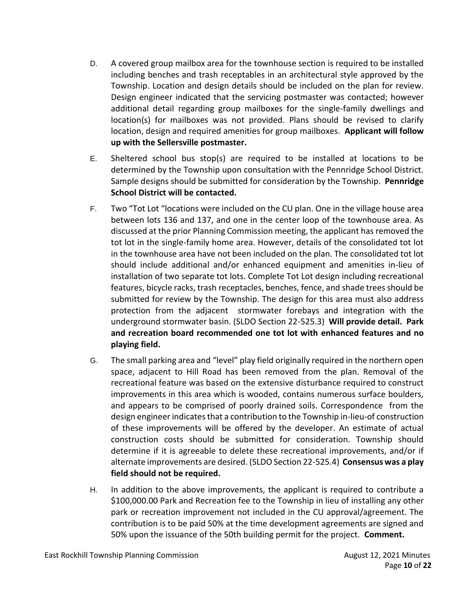- D. A covered group mailbox area for the townhouse section is required to be installed including benches and trash receptables in an architectural style approved by the Township. Location and design details should be included on the plan for review. Design engineer indicated that the servicing postmaster was contacted; however additional detail regarding group mailboxes for the single-family dwellings and location(s) for mailboxes was not provided. Plans should be revised to clarify location, design and required amenities for group mailboxes. **Applicant will follow up with the Sellersville postmaster.**
- E. Sheltered school bus stop(s) are required to be installed at locations to be determined by the Township upon consultation with the Pennridge School District. Sample designs should be submitted for consideration by the Township. **Pennridge School District will be contacted.**
- F. Two "Tot Lot "locations were included on the CU plan. One in the village house area between lots 136 and 137, and one in the center loop of the townhouse area. As discussed at the prior Planning Commission meeting, the applicant has removed the tot lot in the single-family home area. However, details of the consolidated tot lot in the townhouse area have not been included on the plan. The consolidated tot lot should include additional and/or enhanced equipment and amenities in-lieu of installation of two separate tot lots. Complete Tot Lot design including recreational features, bicycle racks, trash receptacles, benches, fence, and shade trees should be submitted for review by the Township. The design for this area must also address protection from the adjacent stormwater forebays and integration with the underground stormwater basin. (SLDO Section 22-525.3) **Will provide detail. Park and recreation board recommended one tot lot with enhanced features and no playing field.**
- G. The small parking area and "level" play field originally required in the northern open space, adjacent to Hill Road has been removed from the plan. Removal of the recreational feature was based on the extensive disturbance required to construct improvements in this area which is wooded, contains numerous surface boulders, and appears to be comprised of poorly drained soils. Correspondence from the design engineer indicates that a contribution to the Township in-lieu-of construction of these improvements will be offered by the developer. An estimate of actual construction costs should be submitted for consideration. Township should determine if it is agreeable to delete these recreational improvements, and/or if alternate improvements are desired. (SLDO Section 22-525.4) **Consensus was a play field should not be required.**
- H. In addition to the above improvements, the applicant is required to contribute a \$100,000.00 Park and Recreation fee to the Township in lieu of installing any other park or recreation improvement not included in the CU approval/agreement. The contribution is to be paid 50% at the time development agreements are signed and 50% upon the issuance of the 50th building permit for the project. **Comment.**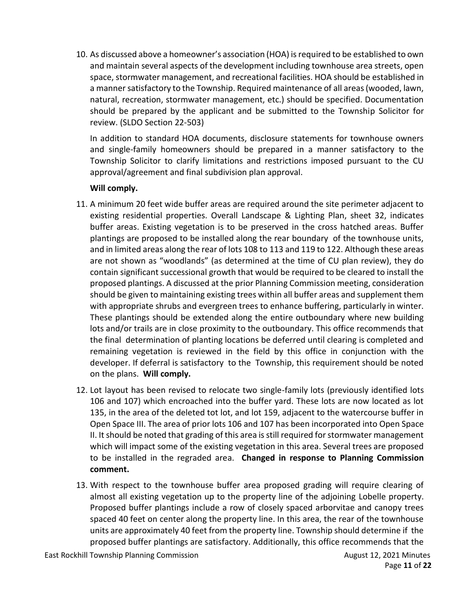10. As discussed above a homeowner's association (HOA) is required to be established to own and maintain several aspects of the development including townhouse area streets, open space, stormwater management, and recreational facilities. HOA should be established in a manner satisfactory to the Township. Required maintenance of all areas (wooded, lawn, natural, recreation, stormwater management, etc.) should be specified. Documentation should be prepared by the applicant and be submitted to the Township Solicitor for review. (SLDO Section 22-503)

In addition to standard HOA documents, disclosure statements for townhouse owners and single-family homeowners should be prepared in a manner satisfactory to the Township Solicitor to clarify limitations and restrictions imposed pursuant to the CU approval/agreement and final subdivision plan approval.

### **Will comply.**

- 11. A minimum 20 feet wide buffer areas are required around the site perimeter adjacent to existing residential properties. Overall Landscape & Lighting Plan, sheet 32, indicates buffer areas. Existing vegetation is to be preserved in the cross hatched areas. Buffer plantings are proposed to be installed along the rear boundary of the townhouse units, and in limited areas along the rear of lots 108 to 113 and 119 to 122. Although these areas are not shown as "woodlands" (as determined at the time of CU plan review), they do contain significant successional growth that would be required to be cleared to install the proposed plantings. A discussed at the prior Planning Commission meeting, consideration should be given to maintaining existing trees within all buffer areas and supplement them with appropriate shrubs and evergreen trees to enhance buffering, particularly in winter. These plantings should be extended along the entire outboundary where new building lots and/or trails are in close proximity to the outboundary. This office recommends that the final determination of planting locations be deferred until clearing is completed and remaining vegetation is reviewed in the field by this office in conjunction with the developer. If deferral is satisfactory to the Township, this requirement should be noted on the plans. **Will comply.**
- 12. Lot layout has been revised to relocate two single-family lots (previously identified lots 106 and 107) which encroached into the buffer yard. These lots are now located as lot 135, in the area of the deleted tot lot, and lot 159, adjacent to the watercourse buffer in Open Space III. The area of prior lots 106 and 107 has been incorporated into Open Space II. It should be noted that grading of this area is still required for stormwater management which will impact some of the existing vegetation in this area. Several trees are proposed to be installed in the regraded area. **Changed in response to Planning Commission comment.**
- 13. With respect to the townhouse buffer area proposed grading will require clearing of almost all existing vegetation up to the property line of the adjoining Lobelle property. Proposed buffer plantings include a row of closely spaced arborvitae and canopy trees spaced 40 feet on center along the property line. In this area, the rear of the townhouse units are approximately 40 feet from the property line. Township should determine if the proposed buffer plantings are satisfactory. Additionally, this office recommends that the

East Rockhill Township Planning Commission **August 12, 2021 Minutes** August 12, 2021 Minutes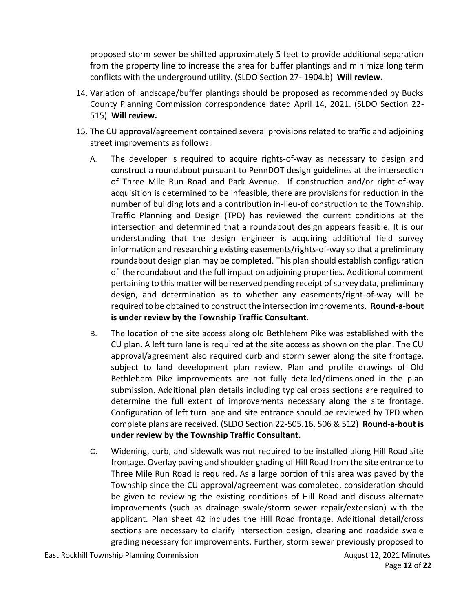proposed storm sewer be shifted approximately 5 feet to provide additional separation from the property line to increase the area for buffer plantings and minimize long term conflicts with the underground utility. (SLDO Section 27- 1904.b) **Will review.** 

- 14. Variation of landscape/buffer plantings should be proposed as recommended by Bucks County Planning Commission correspondence dated April 14, 2021. (SLDO Section 22- 515) **Will review.**
- 15. The CU approval/agreement contained several provisions related to traffic and adjoining street improvements as follows:
	- A. The developer is required to acquire rights-of-way as necessary to design and construct a roundabout pursuant to PennDOT design guidelines at the intersection of Three Mile Run Road and Park Avenue. If construction and/or right-of-way acquisition is determined to be infeasible, there are provisions for reduction in the number of building lots and a contribution in-lieu-of construction to the Township. Traffic Planning and Design (TPD) has reviewed the current conditions at the intersection and determined that a roundabout design appears feasible. It is our understanding that the design engineer is acquiring additional field survey information and researching existing easements/rights-of-way so that a preliminary roundabout design plan may be completed. This plan should establish configuration of the roundabout and the full impact on adjoining properties. Additional comment pertaining to this matter will be reserved pending receipt of survey data, preliminary design, and determination as to whether any easements/right-of-way will be required to be obtained to construct the intersection improvements. **Round-a-bout is under review by the Township Traffic Consultant.**
	- B. The location of the site access along old Bethlehem Pike was established with the CU plan. A left turn lane is required at the site access as shown on the plan. The CU approval/agreement also required curb and storm sewer along the site frontage, subject to land development plan review. Plan and profile drawings of Old Bethlehem Pike improvements are not fully detailed/dimensioned in the plan submission. Additional plan details including typical cross sections are required to determine the full extent of improvements necessary along the site frontage. Configuration of left turn lane and site entrance should be reviewed by TPD when complete plans are received. (SLDO Section 22-505.16, 506 & 512) **Round-a-bout is under review by the Township Traffic Consultant.**
	- C. Widening, curb, and sidewalk was not required to be installed along Hill Road site frontage. Overlay paving and shoulder grading of Hill Road from the site entrance to Three Mile Run Road is required. As a large portion of this area was paved by the Township since the CU approval/agreement was completed, consideration should be given to reviewing the existing conditions of Hill Road and discuss alternate improvements (such as drainage swale/storm sewer repair/extension) with the applicant. Plan sheet 42 includes the Hill Road frontage. Additional detail/cross sections are necessary to clarify intersection design, clearing and roadside swale grading necessary for improvements. Further, storm sewer previously proposed to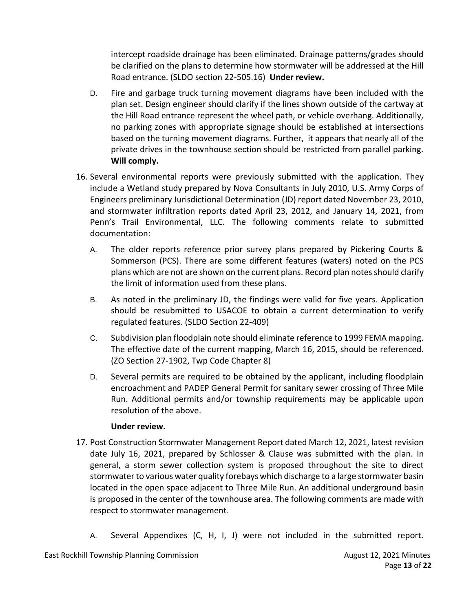intercept roadside drainage has been eliminated. Drainage patterns/grades should be clarified on the plans to determine how stormwater will be addressed at the Hill Road entrance. (SLDO section 22-505.16) **Under review.** 

- D. Fire and garbage truck turning movement diagrams have been included with the plan set. Design engineer should clarify if the lines shown outside of the cartway at the Hill Road entrance represent the wheel path, or vehicle overhang. Additionally, no parking zones with appropriate signage should be established at intersections based on the turning movement diagrams. Further, it appears that nearly all of the private drives in the townhouse section should be restricted from parallel parking. **Will comply.**
- 16. Several environmental reports were previously submitted with the application. They include a Wetland study prepared by Nova Consultants in July 2010, U.S. Army Corps of Engineers preliminary Jurisdictional Determination (JD) report dated November 23, 2010, and stormwater infiltration reports dated April 23, 2012, and January 14, 2021, from Penn's Trail Environmental, LLC. The following comments relate to submitted documentation:
	- A. The older reports reference prior survey plans prepared by Pickering Courts & Sommerson (PCS). There are some different features (waters) noted on the PCS plans which are not are shown on the current plans. Record plan notes should clarify the limit of information used from these plans.
	- B. As noted in the preliminary JD, the findings were valid for five years. Application should be resubmitted to USACOE to obtain a current determination to verify regulated features. (SLDO Section 22-409)
	- C. Subdivision plan floodplain note should eliminate reference to 1999 FEMA mapping. The effective date of the current mapping, March 16, 2015, should be referenced. (ZO Section 27-1902, Twp Code Chapter 8)
	- D. Several permits are required to be obtained by the applicant, including floodplain encroachment and PADEP General Permit for sanitary sewer crossing of Three Mile Run. Additional permits and/or township requirements may be applicable upon resolution of the above.

### **Under review.**

- 17. Post Construction Stormwater Management Report dated March 12, 2021, latest revision date July 16, 2021, prepared by Schlosser & Clause was submitted with the plan. In general, a storm sewer collection system is proposed throughout the site to direct stormwater to various water quality forebays which discharge to a large stormwater basin located in the open space adjacent to Three Mile Run. An additional underground basin is proposed in the center of the townhouse area. The following comments are made with respect to stormwater management.
	- A. Several Appendixes (C, H, I, J) were not included in the submitted report.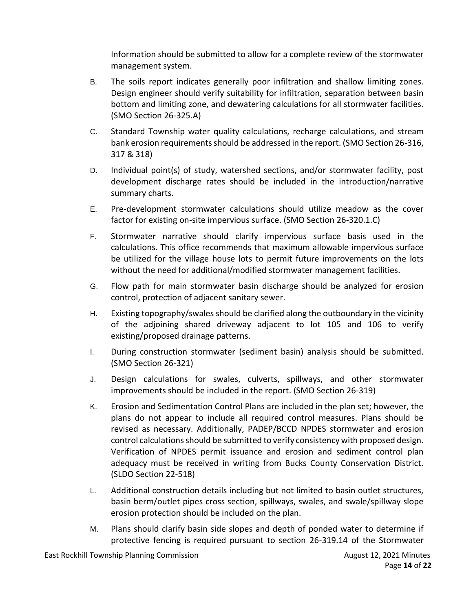Information should be submitted to allow for a complete review of the stormwater management system.

- B. The soils report indicates generally poor infiltration and shallow limiting zones. Design engineer should verify suitability for infiltration, separation between basin bottom and limiting zone, and dewatering calculations for all stormwater facilities. (SMO Section 26-325.A)
- C. Standard Township water quality calculations, recharge calculations, and stream bank erosion requirements should be addressed in the report. (SMO Section 26-316, 317 & 318)
- D. Individual point(s) of study, watershed sections, and/or stormwater facility, post development discharge rates should be included in the introduction/narrative summary charts.
- E. Pre-development stormwater calculations should utilize meadow as the cover factor for existing on-site impervious surface. (SMO Section 26-320.1.C)
- F. Stormwater narrative should clarify impervious surface basis used in the calculations. This office recommends that maximum allowable impervious surface be utilized for the village house lots to permit future improvements on the lots without the need for additional/modified stormwater management facilities.
- G. Flow path for main stormwater basin discharge should be analyzed for erosion control, protection of adjacent sanitary sewer.
- H. Existing topography/swales should be clarified along the outboundary in the vicinity of the adjoining shared driveway adjacent to lot 105 and 106 to verify existing/proposed drainage patterns.
- I. During construction stormwater (sediment basin) analysis should be submitted. (SMO Section 26-321)
- J. Design calculations for swales, culverts, spillways, and other stormwater improvements should be included in the report. (SMO Section 26-319)
- K. Erosion and Sedimentation Control Plans are included in the plan set; however, the plans do not appear to include all required control measures. Plans should be revised as necessary. Additionally, PADEP/BCCD NPDES stormwater and erosion control calculations should be submitted to verify consistency with proposed design. Verification of NPDES permit issuance and erosion and sediment control plan adequacy must be received in writing from Bucks County Conservation District. (SLDO Section 22-518)
- L. Additional construction details including but not limited to basin outlet structures, basin berm/outlet pipes cross section, spillways, swales, and swale/spillway slope erosion protection should be included on the plan.
- M. Plans should clarify basin side slopes and depth of ponded water to determine if protective fencing is required pursuant to section 26-319.14 of the Stormwater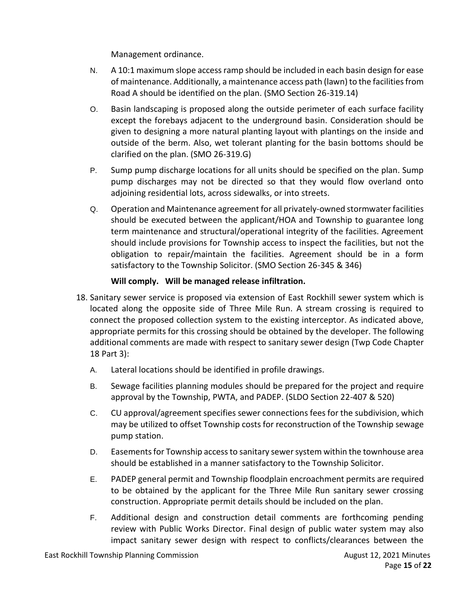Management ordinance.

- N. A 10:1 maximum slope access ramp should be included in each basin design for ease of maintenance. Additionally, a maintenance access path (lawn) to the facilities from Road A should be identified on the plan. (SMO Section 26-319.14)
- O. Basin landscaping is proposed along the outside perimeter of each surface facility except the forebays adjacent to the underground basin. Consideration should be given to designing a more natural planting layout with plantings on the inside and outside of the berm. Also, wet tolerant planting for the basin bottoms should be clarified on the plan. (SMO 26-319.G)
- P. Sump pump discharge locations for all units should be specified on the plan. Sump pump discharges may not be directed so that they would flow overland onto adjoining residential lots, across sidewalks, or into streets.
- Q. Operation and Maintenance agreement for all privately-owned stormwater facilities should be executed between the applicant/HOA and Township to guarantee long term maintenance and structural/operational integrity of the facilities. Agreement should include provisions for Township access to inspect the facilities, but not the obligation to repair/maintain the facilities. Agreement should be in a form satisfactory to the Township Solicitor. (SMO Section 26-345 & 346)

### **Will comply. Will be managed release infiltration.**

- 18. Sanitary sewer service is proposed via extension of East Rockhill sewer system which is located along the opposite side of Three Mile Run. A stream crossing is required to connect the proposed collection system to the existing interceptor. As indicated above, appropriate permits for this crossing should be obtained by the developer. The following additional comments are made with respect to sanitary sewer design (Twp Code Chapter 18 Part 3):
	- A. Lateral locations should be identified in profile drawings.
	- B. Sewage facilities planning modules should be prepared for the project and require approval by the Township, PWTA, and PADEP. (SLDO Section 22-407 & 520)
	- C. CU approval/agreement specifies sewer connections fees for the subdivision, which may be utilized to offset Township costs for reconstruction of the Township sewage pump station.
	- D. Easements for Township access to sanitary sewer system within the townhouse area should be established in a manner satisfactory to the Township Solicitor.
	- E. PADEP general permit and Township floodplain encroachment permits are required to be obtained by the applicant for the Three Mile Run sanitary sewer crossing construction. Appropriate permit details should be included on the plan.
	- F. Additional design and construction detail comments are forthcoming pending review with Public Works Director. Final design of public water system may also impact sanitary sewer design with respect to conflicts/clearances between the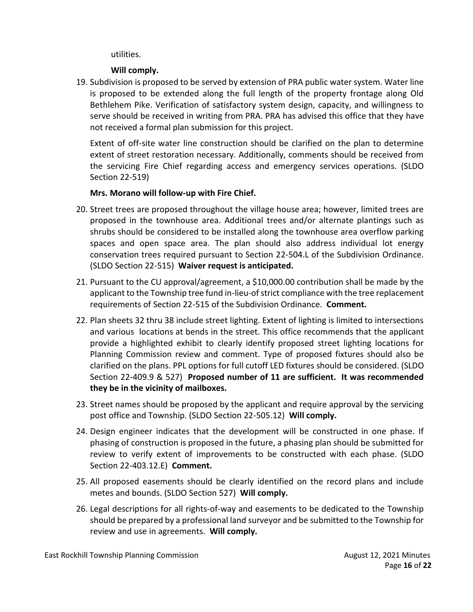utilities.

#### **Will comply.**

19. Subdivision is proposed to be served by extension of PRA public water system. Water line is proposed to be extended along the full length of the property frontage along Old Bethlehem Pike. Verification of satisfactory system design, capacity, and willingness to serve should be received in writing from PRA. PRA has advised this office that they have not received a formal plan submission for this project.

Extent of off-site water line construction should be clarified on the plan to determine extent of street restoration necessary. Additionally, comments should be received from the servicing Fire Chief regarding access and emergency services operations. (SLDO Section 22-519)

### **Mrs. Morano will follow-up with Fire Chief.**

- 20. Street trees are proposed throughout the village house area; however, limited trees are proposed in the townhouse area. Additional trees and/or alternate plantings such as shrubs should be considered to be installed along the townhouse area overflow parking spaces and open space area. The plan should also address individual lot energy conservation trees required pursuant to Section 22-504.L of the Subdivision Ordinance. (SLDO Section 22-515) **Waiver request is anticipated.**
- 21. Pursuant to the CU approval/agreement, a \$10,000.00 contribution shall be made by the applicant to the Township tree fund in-lieu-of strict compliance with the tree replacement requirements of Section 22-515 of the Subdivision Ordinance. **Comment.**
- 22. Plan sheets 32 thru 38 include street lighting. Extent of lighting is limited to intersections and various locations at bends in the street. This office recommends that the applicant provide a highlighted exhibit to clearly identify proposed street lighting locations for Planning Commission review and comment. Type of proposed fixtures should also be clarified on the plans. PPL options for full cutoff LED fixtures should be considered. (SLDO Section 22-409.9 & 527) **Proposed number of 11 are sufficient. It was recommended they be in the vicinity of mailboxes.**
- 23. Street names should be proposed by the applicant and require approval by the servicing post office and Township. (SLDO Section 22-505.12) **Will comply.**
- 24. Design engineer indicates that the development will be constructed in one phase. If phasing of construction is proposed in the future, a phasing plan should be submitted for review to verify extent of improvements to be constructed with each phase. (SLDO Section 22-403.12.E) **Comment.**
- 25. All proposed easements should be clearly identified on the record plans and include metes and bounds. (SLDO Section 527) **Will comply.**
- 26. Legal descriptions for all rights-of-way and easements to be dedicated to the Township should be prepared by a professional land surveyor and be submitted to the Township for review and use in agreements. **Will comply.**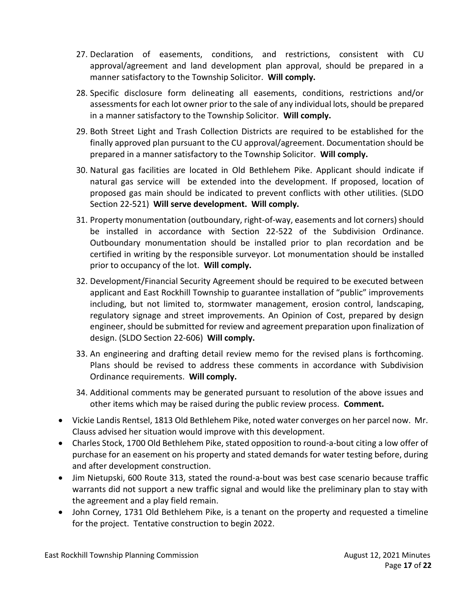- 27. Declaration of easements, conditions, and restrictions, consistent with CU approval/agreement and land development plan approval, should be prepared in a manner satisfactory to the Township Solicitor. **Will comply.**
- 28. Specific disclosure form delineating all easements, conditions, restrictions and/or assessments for each lot owner prior to the sale of any individual lots, should be prepared in a manner satisfactory to the Township Solicitor. **Will comply.**
- 29. Both Street Light and Trash Collection Districts are required to be established for the finally approved plan pursuant to the CU approval/agreement. Documentation should be prepared in a manner satisfactory to the Township Solicitor. **Will comply.**
- 30. Natural gas facilities are located in Old Bethlehem Pike. Applicant should indicate if natural gas service will be extended into the development. If proposed, location of proposed gas main should be indicated to prevent conflicts with other utilities. (SLDO Section 22-521) **Will serve development. Will comply.**
- 31. Property monumentation (outboundary, right-of-way, easements and lot corners) should be installed in accordance with Section 22-522 of the Subdivision Ordinance. Outboundary monumentation should be installed prior to plan recordation and be certified in writing by the responsible surveyor. Lot monumentation should be installed prior to occupancy of the lot. **Will comply.**
- 32. Development/Financial Security Agreement should be required to be executed between applicant and East Rockhill Township to guarantee installation of "public" improvements including, but not limited to, stormwater management, erosion control, landscaping, regulatory signage and street improvements. An Opinion of Cost, prepared by design engineer, should be submitted for review and agreement preparation upon finalization of design. (SLDO Section 22-606) **Will comply.**
- 33. An engineering and drafting detail review memo for the revised plans is forthcoming. Plans should be revised to address these comments in accordance with Subdivision Ordinance requirements. **Will comply.**
- 34. Additional comments may be generated pursuant to resolution of the above issues and other items which may be raised during the public review process. **Comment.**
- Vickie Landis Rentsel, 1813 Old Bethlehem Pike, noted water converges on her parcel now. Mr. Clauss advised her situation would improve with this development.
- Charles Stock, 1700 Old Bethlehem Pike, stated opposition to round-a-bout citing a low offer of purchase for an easement on his property and stated demands for water testing before, during and after development construction.
- Jim Nietupski, 600 Route 313, stated the round-a-bout was best case scenario because traffic warrants did not support a new traffic signal and would like the preliminary plan to stay with the agreement and a play field remain.
- John Corney, 1731 Old Bethlehem Pike, is a tenant on the property and requested a timeline for the project. Tentative construction to begin 2022.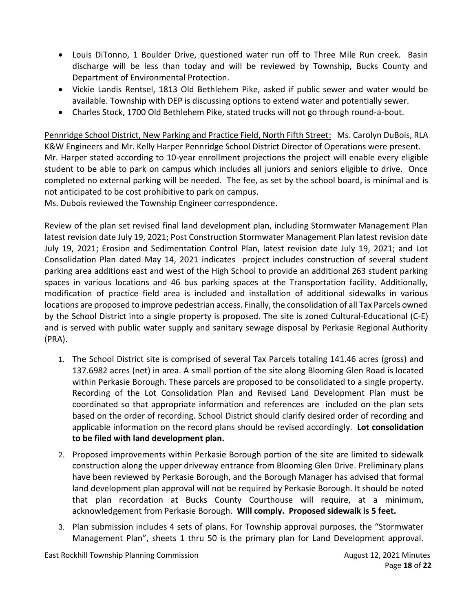- Louis DiTonno, 1 Boulder Drive, questioned water run off to Three Mile Run creek. Basin discharge will be less than today and will be reviewed by Township, Bucks County and Department of Environmental Protection.
- Vickie Landis Rentsel, 1813 Old Bethlehem Pike, asked if public sewer and water would be available. Township with DEP is discussing options to extend water and potentially sewer.
- Charles Stock, 1700 Old Bethlehem Pike, stated trucks will not go through round-a-bout.

Pennridge School District, New Parking and Practice Field, North Fifth Street: Ms. Carolyn DuBois, RLA K&W Engineers and Mr. Kelly Harper Pennridge School District Director of Operations were present. Mr. Harper stated according to 10-year enrollment projections the project will enable every eligible student to be able to park on campus which includes all juniors and seniors eligible to drive. Once completed no external parking will be needed. The fee, as set by the school board, is minimal and is not anticipated to be cost prohibitive to park on campus.

Ms. Dubois reviewed the Township Engineer correspondence.

Review of the plan set revised final land development plan, including Stormwater Management Plan latest revision date July 19, 2021; Post Construction Stormwater Management Plan latest revision date July 19, 2021; Erosion and Sedimentation Control Plan, latest revision date July 19, 2021; and Lot Consolidation Plan dated May 14, 2021 indicates project includes construction of several student parking area additions east and west of the High School to provide an additional 263 student parking spaces in various locations and 46 bus parking spaces at the Transportation facility. Additionally, modification of practice field area is included and installation of additional sidewalks in various locations are proposed to improve pedestrian access. Finally, the consolidation of all Tax Parcels owned by the School District into a single property is proposed. The site is zoned Cultural-Educational (C-E) and is served with public water supply and sanitary sewage disposal by Perkasie Regional Authority (PRA).

- 1. The School District site is comprised of several Tax Parcels totaling 141.46 acres (gross) and 137.6982 acres (net) in area. A small portion of the site along Blooming Glen Road is located within Perkasie Borough. These parcels are proposed to be consolidated to a single property. Recording of the Lot Consolidation Plan and Revised Land Development Plan must be coordinated so that appropriate information and references are included on the plan sets based on the order of recording. School District should clarify desired order of recording and applicable information on the record plans should be revised accordingly. **Lot consolidation to be filed with land development plan.**
- 2. Proposed improvements within Perkasie Borough portion of the site are limited to sidewalk construction along the upper driveway entrance from Blooming Glen Drive. Preliminary plans have been reviewed by Perkasie Borough, and the Borough Manager has advised that formal land development plan approval will not be required by Perkasie Borough. It should be noted that plan recordation at Bucks County Courthouse will require, at a minimum, acknowledgement from Perkasie Borough. **Will comply. Proposed sidewalk is 5 feet.**
- 3. Plan submission includes 4 sets of plans. For Township approval purposes, the "Stormwater Management Plan", sheets 1 thru 50 is the primary plan for Land Development approval.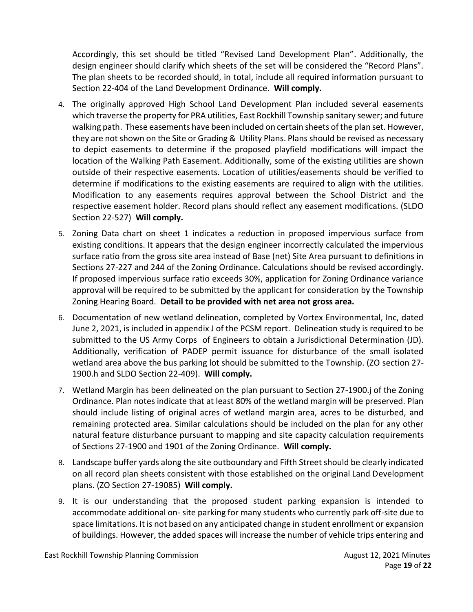Accordingly, this set should be titled "Revised Land Development Plan". Additionally, the design engineer should clarify which sheets of the set will be considered the "Record Plans". The plan sheets to be recorded should, in total, include all required information pursuant to Section 22-404 of the Land Development Ordinance. **Will comply.** 

- 4. The originally approved High School Land Development Plan included several easements which traverse the property for PRA utilities, East Rockhill Township sanitary sewer; and future walking path. These easements have been included on certain sheets of the plan set. However, they are not shown on the Site or Grading & Utility Plans. Plans should be revised as necessary to depict easements to determine if the proposed playfield modifications will impact the location of the Walking Path Easement. Additionally, some of the existing utilities are shown outside of their respective easements. Location of utilities/easements should be verified to determine if modifications to the existing easements are required to align with the utilities. Modification to any easements requires approval between the School District and the respective easement holder. Record plans should reflect any easement modifications. (SLDO Section 22-527) **Will comply.**
- 5. Zoning Data chart on sheet 1 indicates a reduction in proposed impervious surface from existing conditions. It appears that the design engineer incorrectly calculated the impervious surface ratio from the gross site area instead of Base (net) Site Area pursuant to definitions in Sections 27-227 and 244 of the Zoning Ordinance. Calculations should be revised accordingly. If proposed impervious surface ratio exceeds 30%, application for Zoning Ordinance variance approval will be required to be submitted by the applicant for consideration by the Township Zoning Hearing Board. **Detail to be provided with net area not gross area.**
- 6. Documentation of new wetland delineation, completed by Vortex Environmental, Inc, dated June 2, 2021, is included in appendix J of the PCSM report. Delineation study is required to be submitted to the US Army Corps of Engineers to obtain a Jurisdictional Determination (JD). Additionally, verification of PADEP permit issuance for disturbance of the small isolated wetland area above the bus parking lot should be submitted to the Township. (ZO section 27- 1900.h and SLDO Section 22-409). **Will comply.**
- 7. Wetland Margin has been delineated on the plan pursuant to Section 27-1900.j of the Zoning Ordinance. Plan notes indicate that at least 80% of the wetland margin will be preserved. Plan should include listing of original acres of wetland margin area, acres to be disturbed, and remaining protected area. Similar calculations should be included on the plan for any other natural feature disturbance pursuant to mapping and site capacity calculation requirements of Sections 27-1900 and 1901 of the Zoning Ordinance. **Will comply.**
- 8. Landscape buffer yards along the site outboundary and Fifth Street should be clearly indicated on all record plan sheets consistent with those established on the original Land Development plans. (ZO Section 27-19085) **Will comply.**
- 9. It is our understanding that the proposed student parking expansion is intended to accommodate additional on- site parking for many students who currently park off-site due to space limitations. It is not based on any anticipated change in student enrollment or expansion of buildings. However, the added spaces will increase the number of vehicle trips entering and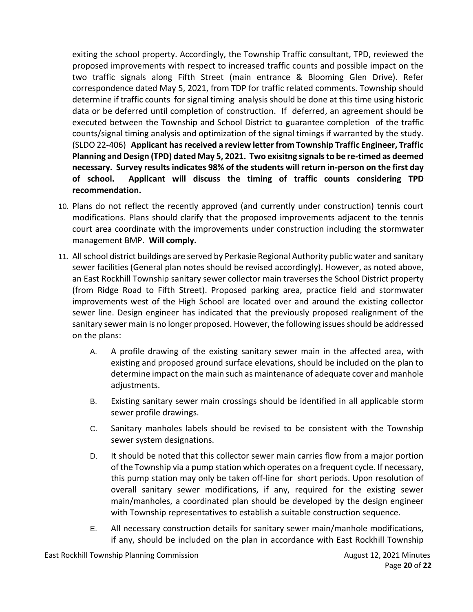exiting the school property. Accordingly, the Township Traffic consultant, TPD, reviewed the proposed improvements with respect to increased traffic counts and possible impact on the two traffic signals along Fifth Street (main entrance & Blooming Glen Drive). Refer correspondence dated May 5, 2021, from TDP for traffic related comments. Township should determine if traffic counts for signal timing analysis should be done at this time using historic data or be deferred until completion of construction. If deferred, an agreement should be executed between the Township and School District to guarantee completion of the traffic counts/signal timing analysis and optimization of the signal timings if warranted by the study. (SLDO 22-406) **Applicant has received a review letter from Township Traffic Engineer, Traffic Planning and Design (TPD) dated May 5, 2021. Two exisitng signals to be re-timed as deemed necessary. Survey results indicates 98% of the students will return in-person on the first day of school. Applicant will discuss the timing of traffic counts considering TPD recommendation.** 

- 10. Plans do not reflect the recently approved (and currently under construction) tennis court modifications. Plans should clarify that the proposed improvements adjacent to the tennis court area coordinate with the improvements under construction including the stormwater management BMP. **Will comply.**
- 11. All school district buildings are served by Perkasie Regional Authority public water and sanitary sewer facilities (General plan notes should be revised accordingly). However, as noted above, an East Rockhill Township sanitary sewer collector main traverses the School District property (from Ridge Road to Fifth Street). Proposed parking area, practice field and stormwater improvements west of the High School are located over and around the existing collector sewer line. Design engineer has indicated that the previously proposed realignment of the sanitary sewer main is no longer proposed. However, the following issues should be addressed on the plans:
	- A. A profile drawing of the existing sanitary sewer main in the affected area, with existing and proposed ground surface elevations, should be included on the plan to determine impact on the main such as maintenance of adequate cover and manhole adjustments.
	- B. Existing sanitary sewer main crossings should be identified in all applicable storm sewer profile drawings.
	- C. Sanitary manholes labels should be revised to be consistent with the Township sewer system designations.
	- D. It should be noted that this collector sewer main carries flow from a major portion of the Township via a pump station which operates on a frequent cycle. If necessary, this pump station may only be taken off-line for short periods. Upon resolution of overall sanitary sewer modifications, if any, required for the existing sewer main/manholes, a coordinated plan should be developed by the design engineer with Township representatives to establish a suitable construction sequence.
	- E. All necessary construction details for sanitary sewer main/manhole modifications, if any, should be included on the plan in accordance with East Rockhill Township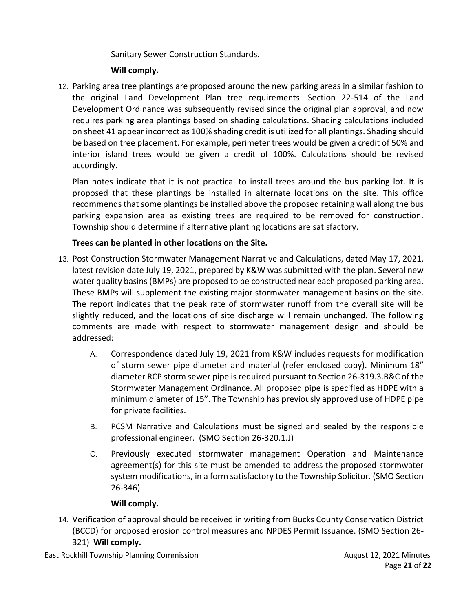### Sanitary Sewer Construction Standards.

# **Will comply.**

12. Parking area tree plantings are proposed around the new parking areas in a similar fashion to the original Land Development Plan tree requirements. Section 22-514 of the Land Development Ordinance was subsequently revised since the original plan approval, and now requires parking area plantings based on shading calculations. Shading calculations included on sheet 41 appear incorrect as 100% shading credit is utilized for all plantings. Shading should be based on tree placement. For example, perimeter trees would be given a credit of 50% and interior island trees would be given a credit of 100%. Calculations should be revised accordingly.

Plan notes indicate that it is not practical to install trees around the bus parking lot. It is proposed that these plantings be installed in alternate locations on the site. This office recommends that some plantings be installed above the proposed retaining wall along the bus parking expansion area as existing trees are required to be removed for construction. Township should determine if alternative planting locations are satisfactory.

# **Trees can be planted in other locations on the Site.**

- 13. Post Construction Stormwater Management Narrative and Calculations, dated May 17, 2021, latest revision date July 19, 2021, prepared by K&W was submitted with the plan. Several new water quality basins (BMPs) are proposed to be constructed near each proposed parking area. These BMPs will supplement the existing major stormwater management basins on the site. The report indicates that the peak rate of stormwater runoff from the overall site will be slightly reduced, and the locations of site discharge will remain unchanged. The following comments are made with respect to stormwater management design and should be addressed:
	- A. Correspondence dated July 19, 2021 from K&W includes requests for modification of storm sewer pipe diameter and material (refer enclosed copy). Minimum 18" diameter RCP storm sewer pipe is required pursuant to Section 26-319.3.B&C of the Stormwater Management Ordinance. All proposed pipe is specified as HDPE with a minimum diameter of 15". The Township has previously approved use of HDPE pipe for private facilities.
	- B. PCSM Narrative and Calculations must be signed and sealed by the responsible professional engineer. (SMO Section 26-320.1.J)
	- C. Previously executed stormwater management Operation and Maintenance agreement(s) for this site must be amended to address the proposed stormwater system modifications, in a form satisfactory to the Township Solicitor. (SMO Section 26-346)

### **Will comply.**

- 14. Verification of approval should be received in writing from Bucks County Conservation District (BCCD) for proposed erosion control measures and NPDES Permit Issuance. (SMO Section 26-
	- 321) **Will comply.**